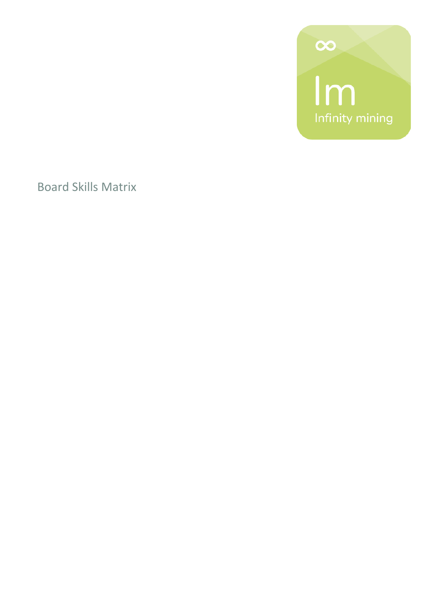

Board Skills Matrix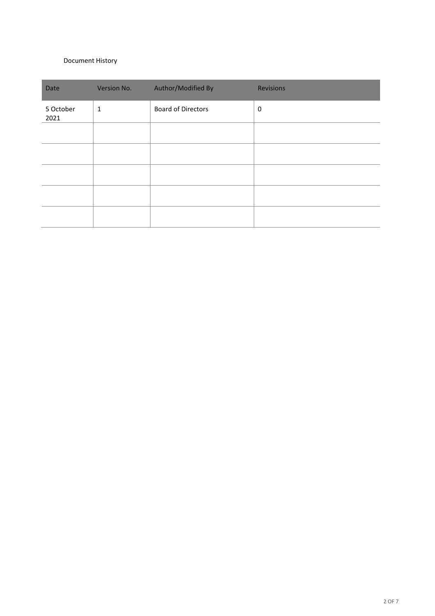#### Document History

| Date              | Version No.  | Author/Modified By        | <b>Revisions</b> |
|-------------------|--------------|---------------------------|------------------|
| 5 October<br>2021 | $\mathbf{1}$ | <b>Board of Directors</b> | 0                |
|                   |              |                           |                  |
|                   |              |                           |                  |
|                   |              |                           |                  |
|                   |              |                           |                  |
|                   |              |                           |                  |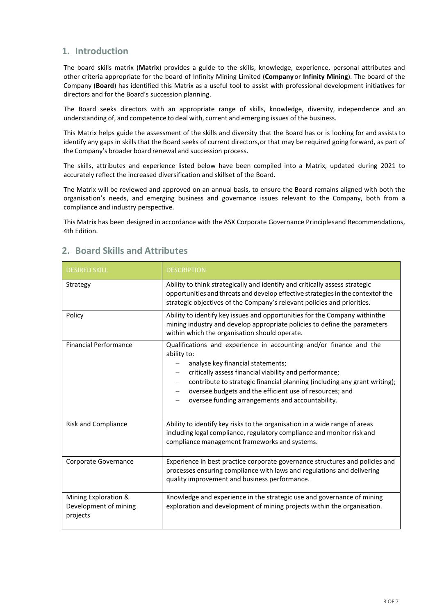# **1. Introduction**

The board skills matrix (**Matrix**) provides a guide to the skills, knowledge, experience, personal attributes and other criteria appropriate for the board of Infinity Mining Limited (**Company** or **Infinity Mining**). The board of the Company (**Board**) has identified this Matrix as a useful tool to assist with professional development initiatives for directors and for the Board's succession planning.

The Board seeks directors with an appropriate range of skills, knowledge, diversity, independence and an understanding of, and competence to deal with, current and emerging issues of the business.

This Matrix helps guide the assessment of the skills and diversity that the Board has or is looking for and assists to identify any gaps in skills that the Board seeks of current directors,or that may be required going forward, as part of the Company's broader board renewal and succession process.

The skills, attributes and experience listed below have been compiled into a Matrix, updated during 2021 to accurately reflect the increased diversification and skillset of the Board.

The Matrix will be reviewed and approved on an annual basis, to ensure the Board remains aligned with both the organisation's needs, and emerging business and governance issues relevant to the Company, both from a compliance and industry perspective.

This Matrix has been designed in accordance with the ASX Corporate Governance Principlesand Recommendations, 4th Edition.

| <b>DESIRED SKILL</b>                                      | <b>DESCRIPTION</b>                                                                                                                                                                                                                                                                                                                                                                                       |  |
|-----------------------------------------------------------|----------------------------------------------------------------------------------------------------------------------------------------------------------------------------------------------------------------------------------------------------------------------------------------------------------------------------------------------------------------------------------------------------------|--|
| Strategy                                                  | Ability to think strategically and identify and critically assess strategic<br>opportunities and threats and develop effective strategies in the contextof the<br>strategic objectives of the Company's relevant policies and priorities.                                                                                                                                                                |  |
| Policy                                                    | Ability to identify key issues and opportunities for the Company withinthe<br>mining industry and develop appropriate policies to define the parameters<br>within which the organisation should operate.                                                                                                                                                                                                 |  |
| <b>Financial Performance</b>                              | Qualifications and experience in accounting and/or finance and the<br>ability to:<br>analyse key financial statements;<br>critically assess financial viability and performance;<br>contribute to strategic financial planning (including any grant writing);<br>oversee budgets and the efficient use of resources; and<br>$\overline{\phantom{m}}$<br>oversee funding arrangements and accountability. |  |
| <b>Risk and Compliance</b>                                | Ability to identify key risks to the organisation in a wide range of areas<br>including legal compliance, regulatory compliance and monitor risk and<br>compliance management frameworks and systems.                                                                                                                                                                                                    |  |
| Corporate Governance                                      | Experience in best practice corporate governance structures and policies and<br>processes ensuring compliance with laws and regulations and delivering<br>quality improvement and business performance.                                                                                                                                                                                                  |  |
| Mining Exploration &<br>Development of mining<br>projects | Knowledge and experience in the strategic use and governance of mining<br>exploration and development of mining projects within the organisation.                                                                                                                                                                                                                                                        |  |

# **2. Board Skills and Attributes**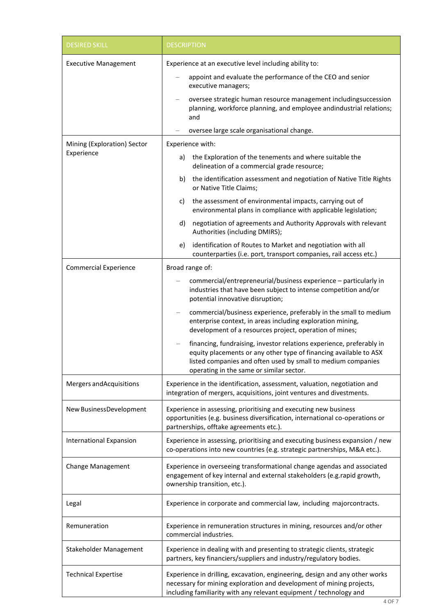| <b>DESIRED SKILL</b>           | <b>DESCRIPTION</b>                                                                                                                                                                                                                                    |  |
|--------------------------------|-------------------------------------------------------------------------------------------------------------------------------------------------------------------------------------------------------------------------------------------------------|--|
| <b>Executive Management</b>    | Experience at an executive level including ability to:                                                                                                                                                                                                |  |
|                                | appoint and evaluate the performance of the CEO and senior<br>executive managers;                                                                                                                                                                     |  |
|                                | oversee strategic human resource management includingsuccession<br>planning, workforce planning, and employee andindustrial relations;<br>and                                                                                                         |  |
|                                | oversee large scale organisational change.                                                                                                                                                                                                            |  |
| Mining (Exploration) Sector    | Experience with:                                                                                                                                                                                                                                      |  |
| Experience                     | the Exploration of the tenements and where suitable the<br>a)<br>delineation of a commercial grade resource;                                                                                                                                          |  |
|                                | the identification assessment and negotiation of Native Title Rights<br>b)<br>or Native Title Claims;                                                                                                                                                 |  |
|                                | the assessment of environmental impacts, carrying out of<br>C)<br>environmental plans in compliance with applicable legislation;                                                                                                                      |  |
|                                | d)<br>negotiation of agreements and Authority Approvals with relevant<br>Authorities (including DMIRS);                                                                                                                                               |  |
|                                | identification of Routes to Market and negotiation with all<br>e)<br>counterparties (i.e. port, transport companies, rail access etc.)                                                                                                                |  |
| <b>Commercial Experience</b>   | Broad range of:                                                                                                                                                                                                                                       |  |
|                                | commercial/entrepreneurial/business experience - particularly in<br>industries that have been subject to intense competition and/or<br>potential innovative disruption;                                                                               |  |
|                                | commercial/business experience, preferably in the small to medium<br>enterprise context, in areas including exploration mining,<br>development of a resources project, operation of mines;                                                            |  |
|                                | financing, fundraising, investor relations experience, preferably in<br>equity placements or any other type of financing available to ASX<br>listed companies and often used by small to medium companies<br>operating in the same or similar sector. |  |
| Mergers and Acquisitions       | Experience in the identification, assessment, valuation, negotiation and<br>integration of mergers, acquisitions, joint ventures and divestments.                                                                                                     |  |
| New BusinessDevelopment        | Experience in assessing, prioritising and executing new business<br>opportunities (e.g. business diversification, international co-operations or<br>partnerships, offtake agreements etc.).                                                           |  |
| <b>International Expansion</b> | Experience in assessing, prioritising and executing business expansion / new<br>co-operations into new countries (e.g. strategic partnerships, M&A etc.).                                                                                             |  |
| Change Management              | Experience in overseeing transformational change agendas and associated<br>engagement of key internal and external stakeholders (e.g. rapid growth,<br>ownership transition, etc.).                                                                   |  |
| Legal                          | Experience in corporate and commercial law, including majorcontracts.                                                                                                                                                                                 |  |
| Remuneration                   | Experience in remuneration structures in mining, resources and/or other<br>commercial industries.                                                                                                                                                     |  |
| Stakeholder Management         | Experience in dealing with and presenting to strategic clients, strategic<br>partners, key financiers/suppliers and industry/regulatory bodies.                                                                                                       |  |
| <b>Technical Expertise</b>     | Experience in drilling, excavation, engineering, design and any other works<br>necessary for mining exploration and development of mining projects,<br>including familiarity with any relevant equipment / technology and                             |  |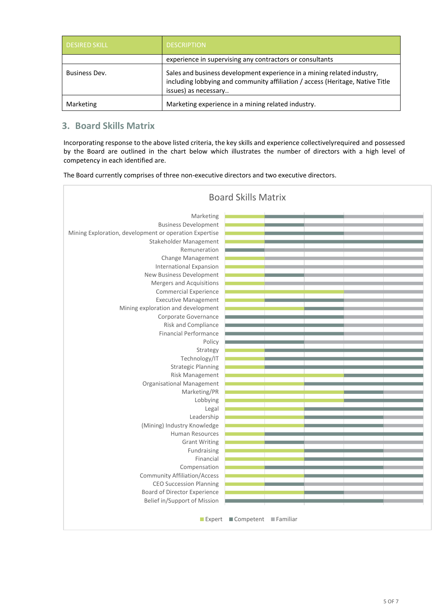| <b>DESIRED SKILL</b> | <b>DESCRIPTION</b>                                                                                                                                                               |  |
|----------------------|----------------------------------------------------------------------------------------------------------------------------------------------------------------------------------|--|
|                      | experience in supervising any contractors or consultants                                                                                                                         |  |
| Business Dev.        | Sales and business development experience in a mining related industry,<br>including lobbying and community affiliation / access (Heritage, Native Title<br>issues) as necessary |  |
| Marketing            | Marketing experience in a mining related industry.                                                                                                                               |  |

# **3. Board Skills Matrix**

Incorporating response to the above listed criteria, the key skills and experience collectivelyrequired and possessed by the Board are outlined in the chart below which illustrates the number of directors with a high level of competency in each identified are.

The Board currently comprises of three non-executive directors and two executive directors.

| <b>Board Skills Matrix</b>                             |  |  |  |  |  |
|--------------------------------------------------------|--|--|--|--|--|
| Marketing                                              |  |  |  |  |  |
| <b>Business Development</b>                            |  |  |  |  |  |
| Mining Exploration, development or operation Expertise |  |  |  |  |  |
| Stakeholder Management                                 |  |  |  |  |  |
| Remuneration                                           |  |  |  |  |  |
| Change Management                                      |  |  |  |  |  |
| <b>International Expansion</b>                         |  |  |  |  |  |
| New Business Development                               |  |  |  |  |  |
| Mergers and Acquisitions                               |  |  |  |  |  |
| <b>Commercial Experience</b>                           |  |  |  |  |  |
| <b>Executive Management</b>                            |  |  |  |  |  |
| Mining exploration and development                     |  |  |  |  |  |
| Corporate Governance                                   |  |  |  |  |  |
| Risk and Compliance                                    |  |  |  |  |  |
| <b>Financial Performance</b>                           |  |  |  |  |  |
| Policy                                                 |  |  |  |  |  |
| Strategy                                               |  |  |  |  |  |
| Technology/IT                                          |  |  |  |  |  |
| <b>Strategic Planning</b>                              |  |  |  |  |  |
| Risk Management                                        |  |  |  |  |  |
| <b>Organisational Management</b>                       |  |  |  |  |  |
| Marketing/PR                                           |  |  |  |  |  |
| Lobbying                                               |  |  |  |  |  |
| Legal                                                  |  |  |  |  |  |
| Leadership                                             |  |  |  |  |  |
| (Mining) Industry Knowledge<br>Human Resources         |  |  |  |  |  |
| <b>Grant Writing</b>                                   |  |  |  |  |  |
| Fundraising                                            |  |  |  |  |  |
| Financial                                              |  |  |  |  |  |
| Compensation                                           |  |  |  |  |  |
| <b>Community Affiliation/Access</b>                    |  |  |  |  |  |
| <b>CEO Succession Planning</b>                         |  |  |  |  |  |
| Board of Director Experience                           |  |  |  |  |  |
| Belief in/Support of Mission                           |  |  |  |  |  |
|                                                        |  |  |  |  |  |
| Competent Familiar<br>$\blacksquare$ Expert            |  |  |  |  |  |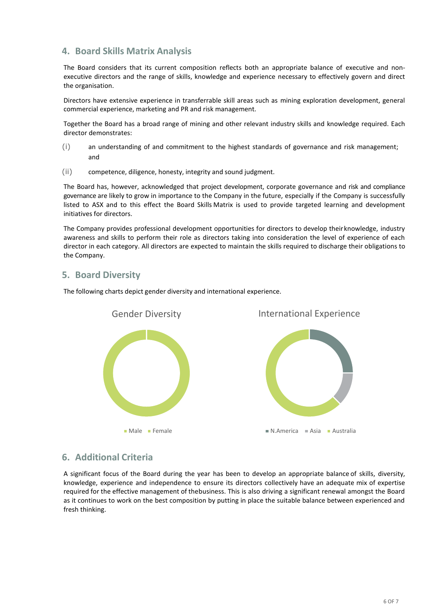### **4. Board Skills Matrix Analysis**

The Board considers that its current composition reflects both an appropriate balance of executive and nonexecutive directors and the range of skills, knowledge and experience necessary to effectively govern and direct the organisation.

Directors have extensive experience in transferrable skill areas such as mining exploration development, general commercial experience, marketing and PR and risk management.

Together the Board has a broad range of mining and other relevant industry skills and knowledge required. Each director demonstrates:

- (i) an understanding of and commitment to the highest standards of governance and risk management; and
- (ii) competence, diligence, honesty, integrity and sound judgment.

The Board has, however, acknowledged that project development, corporate governance and risk and compliance governance are likely to grow in importance to the Company in the future, especially if the Company is successfully listed to ASX and to this effect the Board Skills Matrix is used to provide targeted learning and development initiatives for directors.

The Company provides professional development opportunities for directors to develop theirknowledge, industry awareness and skills to perform their role as directors taking into consideration the level of experience of each director in each category. All directors are expected to maintain the skills required to discharge their obligations to the Company.

# **5. Board Diversity**



The following charts depict gender diversity and international experience.

#### **6. Additional Criteria**

A significant focus of the Board during the year has been to develop an appropriate balance of skills, diversity, knowledge, experience and independence to ensure its directors collectively have an adequate mix of expertise required for the effective management of thebusiness. This is also driving a significant renewal amongst the Board as it continues to work on the best composition by putting in place the suitable balance between experienced and fresh thinking.